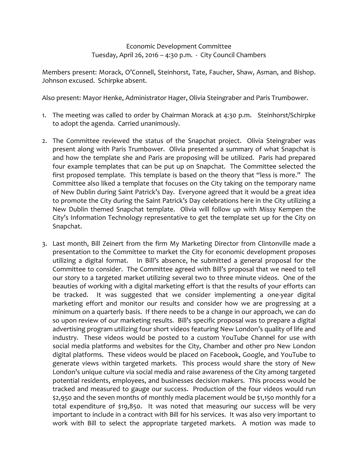## Economic Development Committee Tuesday, April 26, 2016 – 4:30 p.m. - City Council Chambers

Members present: Morack, O'Connell, Steinhorst, Tate, Faucher, Shaw, Asman, and Bishop. Johnson excused. Schirpke absent.

Also present: Mayor Henke, Administrator Hager, Olivia Steingraber and Paris Trumbower.

- 1. The meeting was called to order by Chairman Morack at 4:30 p.m. Steinhorst/Schirpke to adopt the agenda. Carried unanimously.
- 2. The Committee reviewed the status of the Snapchat project. Olivia Steingraber was present along with Paris Trumbower. Olivia presented a summary of what Snapchat is and how the template she and Paris are proposing will be utilized. Paris had prepared four example templates that can be put up on Snapchat. The Committee selected the first proposed template. This template is based on the theory that "less is more." The Committee also liked a template that focuses on the City taking on the temporary name of New Dublin during Saint Patrick's Day. Everyone agreed that it would be a great idea to promote the City during the Saint Patrick's Day celebrations here in the City utilizing a New Dublin themed Snapchat template. Olivia will follow up with Missy Kempen the City's Information Technology representative to get the template set up for the City on Snapchat.
- 3. Last month, Bill Zeinert from the firm My Marketing Director from Clintonville made a presentation to the Committee to market the City for economic development proposes utilizing a digital format. In Bill's absence, he submitted a general proposal for the Committee to consider. The Committee agreed with Bill's proposal that we need to tell our story to a targeted market utilizing several two to three minute videos. One of the beauties of working with a digital marketing effort is that the results of your efforts can be tracked. It was suggested that we consider implementing a one-year digital marketing effort and monitor our results and consider how we are progressing at a minimum on a quarterly basis. If there needs to be a change in our approach, we can do so upon review of our marketing results. Bill's specific proposal was to prepare a digital advertising program utilizing four short videos featuring New London's quality of life and industry. These videos would be posted to a custom YouTube Channel for use with social media platforms and websites for the City, Chamber and other pro New London digital platforms. These videos would be placed on Facebook, Google, and YouTube to generate views within targeted markets. This process would share the story of New London's unique culture via social media and raise awareness of the City among targeted potential residents, employees, and businesses decision makers. This process would be tracked and measured to gauge our success. Production of the four videos would run \$2,950 and the seven months of monthly media placement would be \$1,150 monthly for a total expenditure of \$19,850. It was noted that measuring our success will be very important to include in a contract with Bill for his services. It was also very important to work with Bill to select the appropriate targeted markets. A motion was made to